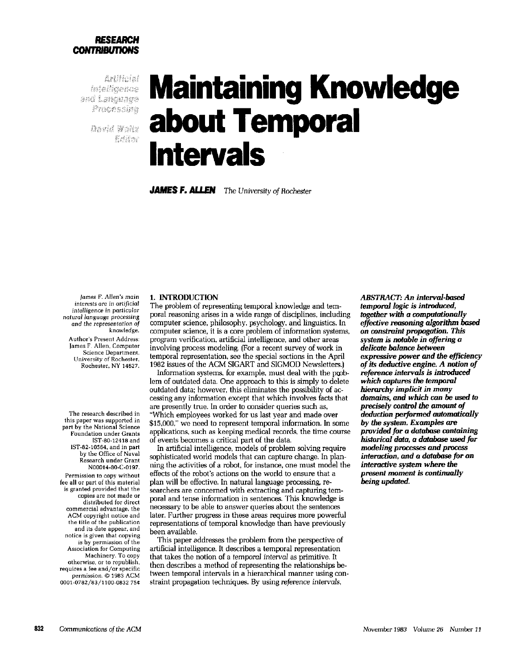# **/ESEARCH CONTRIBUTIONS**

Artistal intelligence and Landware Processing

> David Waltz *Bail*ong

# **Maintaining Knowledge about Temporal Intervals**

*JAMES F. ALLEN* **The** *University of Rochester* 

*lames* F. Allen's main interests are in *artificial intelligence in particular natural language* processing *and the* representation *of knowledge.*  Author's Present **Address:**  James F. Allen, Computer Science Department, University of Rochester.

Rochester. NY 14627.

The research described in this **paper was** supported in **part** by the National Science Foundation under Grants IST-g0-12418 and IST-82-10564. and in **part**  by the Office of Naval Research under Grant N00014-80-C-0197.

Permission to copy without **fee** all or part of this material is granted provided that the copies are not made or distributed for direct commercial advantage, the ACM copyright notice and **the** title of the publication and its date appear, and notice is given that copying is by permission of the Association for Computing Machinery. To copy otherwise, or to republish, requires a fee and/or specific permission. © 1983 ACM *0001-0782/83/1100.0832* 75¢

## 1. INTRODUCTION

The problem of representing temporal knowledge and temporal reasoning arises in a wide range of disciplines, including computer science, philosophy, psychology, and linguistics. In computer science, it is a core problem of information systems, program verification, artificial intelligence, and other areas involving process modeling. (For a recent survey of work in temporal representation, see the special sections in the April 1982 issues of the ACM SIGART and SIGMOD Newsletters.)

Information systems, for example, must deal with the problem of outdated data. One approach to this is simply to delete outdated data; however, this eliminates the possibility of accessing any information except that which involves facts that are presently true. In order to consider queries such as, "Which employees worked for us last year and made over \$15,000/' we need to represent temporal information. In some applications, such as keeping medical records, the time course of events becomes a critical part of the data.

In artificial intelligence, models of problem solving require sophisticated world models that can capture change. In planning the activities of a robot, for instance, one must model the effects of the robot's actions on the world to ensure that a plan will be effective. In natural language processing researchers are concerned with extracting and capturing temporal and tense information in sentences. This knowledge is necessary to be able to answer queries about the **sentences**  later. Further progress in these areas requires more powerful representations of temporal knowledge than have previously been available.

This paper addresses the problem from the perspective of artificial intelligence. It describes a temporal representation that takes the notion of a *temporal interval as* primitive. It then describes a method of representing the relationships between temporal intervals in a hierarchical manner using constraint propagation techniques. By using *reference* intervals,

*ABSTRACT: An interval-based temporal logic is introduced, together with a computationally effective reasoning algorithm based on constraint propagation. This system is notable in offering a delicate balance between expressive power and the efficiency of its deductive engine. A notion of reference intervals is introduced which captu~s the temporal hierarchy implicit in many domains, and which can be used to precisely control the amount of deduction performed automatically by the system. Examples are provided for a database containing historical data, a database used for modeling processes and process interaction, and a database for an interactive system where the present moment is continually being updated.*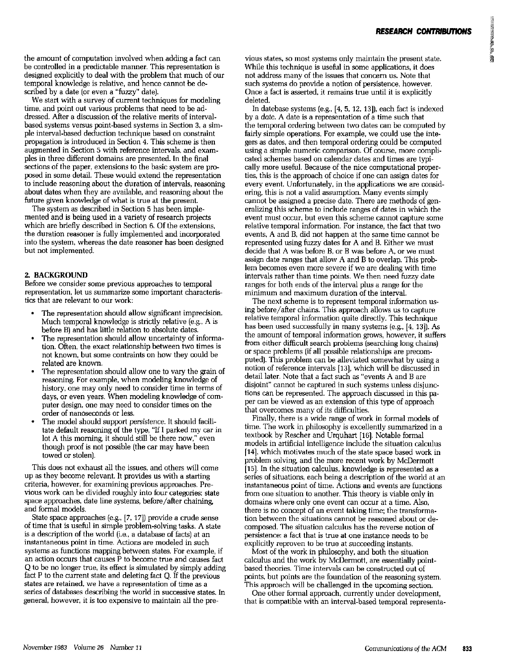the amount of computation involved when adding a fact can be controlled in a predictable manner. This representation is designed explicitly to deal with the problem that much of our temporal knowledge is relative, and hence cannot be described by a date (or even a *"fuzzy"* date).

We start with a survey of current techniques for modeling time, and point out various problems that need to be addressed. After a discussion of the relative merits of intervalbased systems versus point-based systems in Section 3, a simple interval-based deduction technique based on constraint propagation is introduced in Section 4. This scheme is then augmented in Section 5 with reference intervals, and examples in three different domains are presented. In the final sections of the paper, extensions to the basic system are proposed in some detail. These would extend the representation to include reasoning about the duration of intervals, reasoning about dates when they are available, and reasoning about the future given knowledge of what is true at the present.

The system as described in Section 5 has been implemented and is being used in a variety of research projects which are briefly described in Section 6. Of the extensions, the duration reasoner is fully implemented and incorporated into the system, whereas the date reasoner has been designed but not implemented.

#### **2. BACKGROUND**

Before we consider some previous approaches to temporal representation, let us summarize some important characteristics that are relevant to our work:

- The representation should allow significant imprecision. Much temporal knowledge is strictly relative (e.g., A is before B) and has little relation to absolute dates.
- The representation should allow uncertainty of information. Often, the exact relationship between two times is not known, but some contraints on how they could be related are known.
- The representation should allow one to vary the grain of reasoning. For example, when modeling knowledge of history, one may only need to consider time in terms of days, or even years. When modeling knowledge of computer design, one may need to consider times on the order of nanoseconds or less.
- The model should support *persistence.* It should facilitate default reasoning of the type, "If I parked my car in lot A this morning, it should still be there now," even though proof is not possible (the car may have been towed or stolen).

This does not exhaust all the issues, and others will come up as they become relevant. It provides us with a starting criteria, however, for examining previous approaches. Previous work can be divided roughly into four categories: state space approaches, date line systems, before/after chaining, and formal models.

State space approaches (e.g., [7, 17]) provide a crude sense of time that is useful in simple problem-solving tasks. A state is a description of the world (i.e., a database of facts) at an instantaneous point in time. Actions are modeled in such systems as functions mapping between states. For example, if an action occurs that causes P to become true and causes fact Q to be no longer true, its effect is simulated by simply adding fact P to the current state and deleting fact Q. If the previous states are retained, we have a representation of time as a series of databases describing the world in successive states. In general, however, it is too expensive to maintain all the previous states, so most systems only maintain the present state. While this technique is useful in some applications, it does not address many of the issues that concern us. Note that such systems do provide a notion of persistence, however. Once a fact is asserted, it remains true until it is explicitly deleted.

In datebase systems (e.g., [4, 5, 12, 13]), each fact is indexed by a *date.* A date is a representation of a time such that the temporal ordering between two dates can be computed by fairly simple operations. For example, we could use the integers as dates, and then temporal ordering could be computed using a simple numeric comparison. Of course, more complicated schemes based on calendar dates and times are typically more useful. Because of the nice computational properties, this is the approach of choice if one can assign dates for every event. Unfortunately, in the applications we are considering, this is not a valid assumption. Many events simply cannot be assigned a precise date. There are methods of generalizing this scheme to include ranges of dates in which the event must occur, but even this scheme cannot capture some relative temporal information. For instance, the fact that two events, A and B, did not happen at the same time cannot be represented using fuzzy dates for A and B. Either we must decide that A was before B, or B was before A, or we must assign date ranges that allow A and B to overlap. This problem becomes even more severe if we are dealing with time intervals rather than time points. We then need fuzzy date ranges for both ends of the interval plus a range for the minimum and maximum duration of the interval.

The next scheme is to represent temporal information using before/after chains. This approach allows us to capture relative temporal information quite directly. This technique has been used successfully in many systems (e.g., [4, 13]). As the amount of temporal information grows, however, it suffers from either difficult search problems (searching long chains) or space problems (if all possible relationships are precomputed). This problem can be alleviated somewhat by using a notion of reference intervals [13], which will be discussed in detail later. Note that a fact such as "events A and B are disjoint" cannot be captured in such systems unless disjunctions can be represented. The approach discussed in this paper can be viewed as an extension of this type of approach that overcomes many of its difficulties.

Finally, there is a wide range of work in formal models of time. The work in philosophy is excellently summarized in a textbook by Rescher and Urquhart [16]. Notable formal models in artificial intelligence include the situation calculus [14], which motivates much of the state space based work in problem solving, and the more recent work by McDermott [15]. In the situation calculus, knowledge is represented as a series of situations, each being a description of the world at an instantaneous point of time. Actions and events are functions from one situation to another. This theory is viable only in domains where only one event can occur at a time. Also, there is no concept of an event taking time; the transformation between the situations cannot be reasoned about or decomposed. The situation calculus has the reverse notion of persistence: a fact that is true at one instance needs to be explicitly reproven to be true at succeeding instants.

Most of the work in philosophy, and both the situation calculus and the work by McDermott, are essentially pointbased theories. Time intervals can be constructed out of points, but points are the foundation of the reasoning system. This approach will be challenged in the upcoming section.

One other formal approach, currently under development, that is compatible with an interval-based temporal representa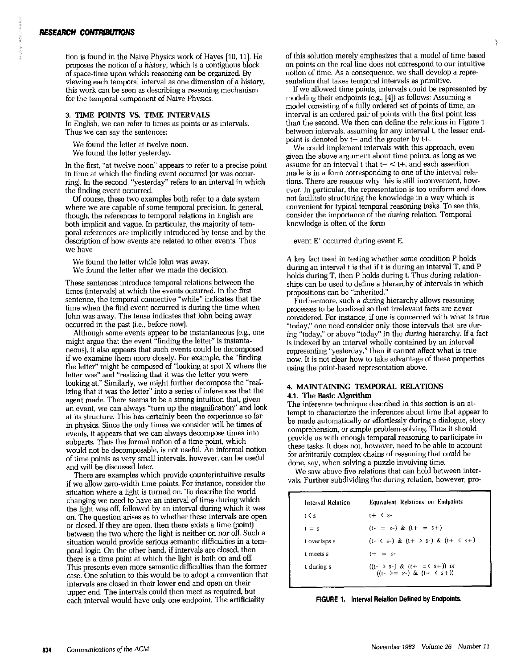tion is found in the Naive Physics work of Hayes [10, 11]. He proposes the notion of a *history,* which is a contiguous block of space-time upon which reasoning can be organized. By viewing each temporal interval as one dimension of a history, this work can be seen as describing a reasoning mechanism for the temporal component of Naive Physics.

# 3. TIME POINTS VS. TIME INTERVALS

In English, we can refer to times as points or as intervals. Thus we can say the sentences:

We found the letter at twelve noon. We found the letter yesterday.

In the first, "at twelve noon" appears to refer to a precise point in time at which the finding event occurred (or was occurring). In the second, "yesterday" refers to an interval in which the finding event occurred.

Of course, these two examples both refer to a date system where we are capable of some temporal precision. In general, though, the references to temporal relations in English are both implicit and vague. In particular, the majority of temporal references are implicitly introduced by tense and by the description of how events are related to other events. Thus we have

We found the letter while John was away. We found the letter after we made the decision.

These sentences introduce temporal relations between the times (intervals) at which the events occurred. In the first sentence, the temporal connective "while" indicates that the time when the find event occurred is during the time when John was away. The tense indicates that John being away occurred in the past (i.e., before now).

Although some events appear to be instantaneous (e.g., one might argue that the event "finding the letter" is instantaneous), it also appears that such events could be decomposed if we examine them more closely. For example, the "finding the letter" might be composed of "looking at spot X where the letter was" and "realizing that it was the letter you were looking at." Similarly, we might further decompose the "realizing that it was the letter" into a series of inferences that the agent made. There seems to be a strong intuition that, given an event, we can always "turn up the magnification" and look at its structure. This has certainly been the experience so far in physics. Since the only times we consider will be times of events, it appears that we can always decompose times into subparts. Thus the formal notion of a time point, which would not be decomposable, is not useful. An informal notion of time points as very small intervals, however, can be useful and will be discussed later.

There are examples which provide counterintuitive results if we allow zero-width time points. For instance, consider the situation where a light is turned on. To describe the world changing we need to have an interval of time during which the light was off, followed by an interval during which it was on. The question arises as to whether these intervals are open or closed. If they are open, then there exists a time (point) between the two where the light is neither on nor off. Such a situation would provide serious semantic difficulties in a temporal logic. On the other hand, if intervals are closed, then there is a time point at which the light is both on and off. This presents even more semantic difficulties than the former case. One solution to this would be to adopt a convention that intervals are closed in their lower end and open on their upper end. The intervals could then meet as required, but each interval would have only one endpoint. The artificiality

of this solution merely emphasizes that a model of time based on points on the real line does not correspond to our intuitive notion of time. As a consequence, we shall develop a representation that takes temporal intervals as primitive.

If we allowed time points, intervals could be represented by modeling their endpoints (e.g., [4]) as follows: Assuming a model consisting of a fully ordered set of points of time, an interval is an ordered pair of points with the first point less than the second. We then can define the relations in Figure 1 between intervals, assuming for any interval t, the lesser endpoint is denoted by  $t-$  and the greater by  $t+$ .

We could implement intervals with this approach, even given the above argument about time points, as long as we assume for an interval t that  $t-$  <  $t+$ , and each assertion made is in a form corresponding to one of the interval relations. There are reasons why this is still inconvenient, however. In particular, the representation is too uniform and does not facilitate structuring the knowledge in a way which is convenient for typical temporal reasoning tasks. To see this, consider the importance of the during relation. Temporal knowledge is often of the form

event E' occurred during event E.

A key fact used in testing whether some condition P holds during an interval t is that if t is during an interval T, and P holds during T, then P holds during t. Thus during relationships can be used to define a hierarchy of intervals in which propositions can be "inherited."

Furthermore, such a during hierarchy allows reasoning processes to be localized so that irrelevant facts are never considered. For instance, if one is concerned with what is true "today," one need consider only those intervals that are dur ing "today," or above "today" in the during hierarchy. If a fact is indexed by an interval wholly contained by an interval representing "yesterday," then it cannot affect what is true now. It is not clear how to take advantage of these properties using the point-based representation above.

# 4. MAINTAINING TEMPORAL RELATIONS 4.1. The Basic Algorithm

The inference technique described in this section is an attempt to characterize the inferences about time that appear to be made automatically or effortlessly during a dialogue, story comprehension, or simple problem-solving. Thus it should provide us with enough temporal reasoning to participate in these tasks. It does not, however, need to be able to account for arbitrarily complex chains of reasoning that could be done, say, when solving a puzzle involving time.

We saw above five relations that can hold between intervals. Further subdividing the during relation, however, pro-

| Interval Relation | Equivalent Relations on Endpoints                                                |
|-------------------|----------------------------------------------------------------------------------|
| t < s             | $1 + 6$ S-                                                                       |
| $t = s$           | $(t - = s -)$ & $(t + = s +)$                                                    |
| t overlaps s      | $(t - \langle s - \rangle & (t + \rangle s - \rangle & (t + \langle s + \rangle$ |
| t meets s         | $1 + 2 = 8$                                                                      |
| t during s        | $((t- > s-) & (t+ = < s+))$ or<br>$((t-)= s-) \& (t+ < s+))$                     |

**FIGURE 1. Interval Relation Defined by Endpoints.**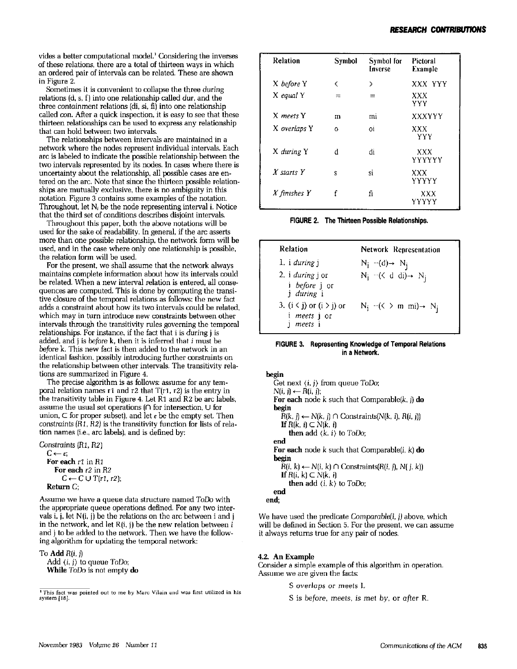vides a better computational model? Considering the inverses of these relations, there are a total of thirteen ways in which an ordered pair of intervals can be related. These are shown in Figure 2.

Sometimes it is convenient to collapse the three during relations (d, s, f) into one relationship called dur, and the three *containment* relations (di, si, fi) into one relationship called con. After a quick inspection, it is easy to see that these thirteen relationships can be used to express any relationship that can hold between two intervals.

The relationships between intervals are maintained in a network where the nodes represent individual intervals. Each arc is labeled to indicate the possible relationship between the two intervals represented by its nodes. In cases where there is uncertainty about the relationship, all possible cases are entered on the arc. Note that since the thirteen possible relationships are mutually exclusive, there is no ambiguity in this notation. Figure 3 contains some examples of the notation. Throughout, let  $N_i$  be the node representing interval i. Notice that the third set of conditions describes disjoint intervals.

Throughout this paper, both the above notations will be used for the sake of readability. In general, if the arc asserts more than one possible relationship, the network form will be used, and in the case where only one relationship is possible, the relation form will be used.

For the present, we shall assume that the network always maintains complete information about how its intervals could be related. When a new interval relation is entered, all consequences are computed. This is done by computing the transitive closure of the temporal relations as follows: the new fact adds a constraint about how its two intervals could be related, which may in turn introduce new constraints between other intervals through the transitivity rules governing the temporal relationships. For instance, if the fact that i is during j is added, and j is before k, then it is inferred that i must be *before* k. This new fact is then added to the network in an identical fashion, possibly introducing further constraints on the relationship between other intervals. The transitivity relations are summarized in Figure 4.

The precise algorithm is as follows: assume for any temporal relation names r1 and r2 that T(r1, r2) is the entry in the transitivity table in Figure 4. Let R1 and R2 be arc labels, assume the usual set operations ( $\cap$  for intersection,  $\cup$  for union,  $\subset$  for proper subset), and let  $\epsilon$  be the empty set. Then *constraints (R 1, R2)* is the transitivity function for lists of relation names (i.e., arc labels), and is defined by:

*Constraints (R1, R2 )*   $C \leftarrow \epsilon$ ; **For** each rl in *R1*  **For** each r2 in *R2*   $C \leftarrow C \cup T(r1, r2);$ **Return C;** 

Assume we have a queue data structure named ToDo with the appropriate queue operations defined. For any two intervals i, j, let N(i, j) be the relations on the arc between i and j in the network, and let  $R(i, j)$  be the new relation between  $i$ and j to be added to the network. Then we have the following algorithm for updating the temporal network:

To Add *R(i, I')*  Add (i, j) to queue *ToDo;*  While *ToDo* is not empty do

| Relation     | Symbol | Symbol for<br>Inverse | Pictoral<br>Example |  |  |  |
|--------------|--------|-----------------------|---------------------|--|--|--|
| X before Y   | ∢      | >                     | XXX YYY             |  |  |  |
| X equal Y    |        |                       | xxx<br>YYY          |  |  |  |
| X meets Y    | m      | mi                    | XXXYYY              |  |  |  |
| X overlaps Y | 0      | O1                    | xxx<br>YYY          |  |  |  |
| X during Y   | d      | đi                    | xxx<br>YYYYYY       |  |  |  |
| X starts Y   | Ś      | si                    | XXX<br>YYYYY        |  |  |  |
| X finishes Y | f      | fi                    | xxx<br>YYYYY        |  |  |  |

**FIGURE 2. The Thirteen Possible Relationships.** 

| Relation                                                           | Network Representation                                         |
|--------------------------------------------------------------------|----------------------------------------------------------------|
| 1. <i>i during</i> j                                               | $N_i$ --(d) $\rightarrow$ N <sub>i</sub>                       |
| 2. <i>i during</i> $\frac{1}{2}$ or<br>i before j or<br>j during i | $N_i$ –(< d di) $\rightarrow$ N <sub>i</sub>                   |
| 3. $(i \le j)$ or $(i \ge j)$ or<br>i meets j or<br>meets i        | $N_i$ - ( $\langle \rangle$ m mi) $\rightarrow$ N <sub>i</sub> |

**FIGURE 3. Representing Knowledge of Temporal Relations in a Network.** 

# begin

Get next  $\langle i, j \rangle$  from queue ToDo;  $N(i, j) \leftarrow R(i, j);$ **For** each node k such that Comparable(k, j) do **begin**   $R(k, j) \leftarrow N(k, j) \cap$  Constraints( $N(k, i)$ ,  $R(i, j)$ ) If *R(k, i) C N(k, i)*  **then** add  $\langle k, i \rangle$  to ToDo;<br>**end For** each node k such that Comparable(i, k) do **begin**   $R(i, k) \leftarrow N(i, k) \cap$  Constraints( $R(i, j)$ ,  $N(j, k)$ ) *If R*(*i*, *k*) ⊂ *N*(*k*, *i*) **then** add  $\langle i, k \rangle$  to ToDo;<br>**end** 

# end;

We have used the predicate *Comparable(i, j)* above, which will be defined in Section 5. For the present, we can assume it always returns true for any pair of nodes.

## **4.2. An Example**

Consider a simple example of this algorithm in operation. Assume we are given the facts:

*S overlaps* or *meets L* 

S is *before, meets, is met by,* or *after R.* 

<sup>&</sup>lt;sup>1</sup> This fact was pointed out to me by Marc Vilain and was first utilized in his system [18].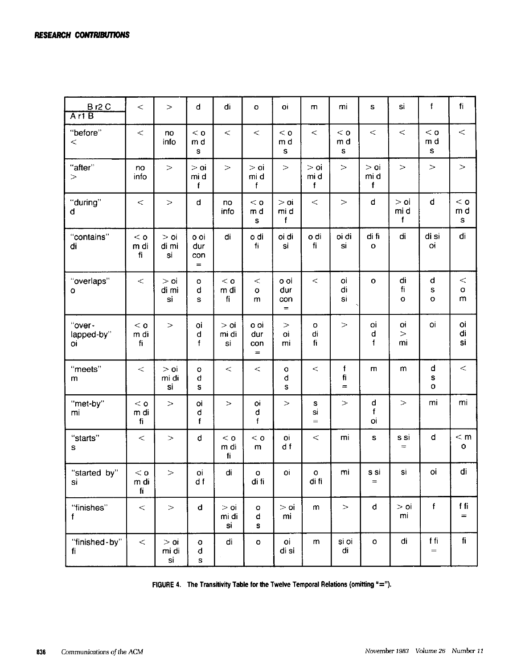| $B$ r <sub>2</sub> $C$<br>AT1B | $\,<$               | $\geq$                | d                             | di                          | $\circ$                       | Οİ                        | m                             | mi                  | ${\bf s}$                            | si                       | $\mathfrak{f}$                            | fi                          |
|--------------------------------|---------------------|-----------------------|-------------------------------|-----------------------------|-------------------------------|---------------------------|-------------------------------|---------------------|--------------------------------------|--------------------------|-------------------------------------------|-----------------------------|
| "before"<br>$\,<\,$            | $\,<$               | no<br>info            | $<$ 0<br>m d<br>S             | $\,<$                       | $\,<$                         | $<$ 0 $\,$<br>m d<br>s    | $\,<$                         | $<$ 0<br>m d<br>s   | $\,<$                                | $\,<$                    | $<$ 0<br>m d<br>S                         | $\,<$                       |
| "after"<br>$\rm{>}$            | no<br>info          | $\geq$                | > 0i<br>mi d<br>f             | $\,>$                       | $>$ oi<br>mi d<br>$\mathbf f$ | $\,>$                     | $>$ oi<br>mi d<br>$\mathbf f$ | $\geq$              | $>$ oi<br>mi d<br>$\pmb{\mathsf{f}}$ | $\, > \,$                | $\rm{>}$                                  | $\,>$                       |
| "during"<br>d                  | $\,<$               | $\geq$                | d                             | no<br>info                  | $<$ 0<br>m d<br>s             | > 0i<br>mi d<br>f         | $\,<$                         | $\,>$               | d                                    | $>$ oi<br>mi d<br>f      | $\mathsf d$                               | $<$ 0<br>m d<br>$\mathbf S$ |
| "contains"<br>di               | $<$ 0<br>m di<br>fi | > 0i<br>di mi<br>si   | o oi<br>dur<br>con<br>$=$     | di                          | o di<br>$\ddot{\textbf{h}}$   | oi di<br>si               | o di<br>$\mathbf{f}$          | oi di<br>si         | di fi<br>$\mathbf{o}$                | di                       | di si<br>οi                               | di                          |
| "overlaps"<br>o                | $\,<$               | $>$ oi<br>di mi<br>si | $\mathbf{o}$<br>d<br>s        | $<$ 0<br>m di<br>fi         | $\,<$<br>$\mathbf O$<br>m     | o oi<br>dur<br>con<br>$=$ | $\,<$                         | oi<br>di<br>Sİ      | $\mathbf 0$                          | di<br>fi<br>$\mathbf{o}$ | d<br>s<br>$\circ$                         | $<\,$<br>$\mathbf O$<br>m   |
| "over-<br>lapped-by"<br>Οİ     | $<$ 0<br>m di<br>fi | $\geq$                | oi<br>d<br>f                  | > 0i<br>mi di<br>si         | o oi<br>dur<br>con<br>$=$     | $\geq$<br>oi<br>mi        | $\mathbf{o}$<br>di<br>fi      | $\,>$               | oi<br>d<br>f                         | oi<br>$\,>$<br>mi        | oi                                        | oi<br>di<br>Sİ              |
| "meets"<br>m                   | $\,<$               | > 0i<br>mi di<br>si   | $\circ$<br>d<br>S             | $\,<$                       | $\,<$                         | o<br>d<br>s               | $\,<$                         | f<br>fi<br>$\equiv$ | m                                    | m                        | d<br>${\bf s}$<br>$\mathbf 0$             | $\,<$                       |
| "met-by"<br>mi                 | $<$ 0<br>m di<br>fi | $\geq$                | OÌ<br>d<br>f                  | $\geq$                      | οi<br>d<br>$\mathsf{f}$       | $\,>$                     | ${\bf s}$<br>si<br>$=$        | $\,>$               | d<br>f<br>oi                         | $\geq$                   | mi                                        | mi                          |
| "starts"<br>s                  | $\,<$               | $\geq$                | $\sf d$                       | < 0<br>m di<br>fi           | $<$ 0<br>$\mathsf{m}$         | Oİ<br>d f                 | $\,<$                         | mi                  | S                                    | s si<br>$=$              | d                                         | $<$ m<br>$\mathbf{o}$       |
| "started by"<br>Sİ             | $<$ 0<br>m di<br>fi | $\,>$                 | oi<br>d f                     | di                          | O<br>di fi                    | Оİ                        | $\circ$<br>di fi              | mi                  | s si<br>$=$                          | si                       | oi                                        | di                          |
| "finishes"<br>f                | $\,<$               | $\geq$                | d                             | > 0i<br>mi di<br>${\sf SI}$ | $\circ$<br>d<br>s             | $>$ oi<br>mi              | m                             | $\,>$               | $\mathsf d$                          | > 0i<br>mi               | $\mathbf{f}$                              | f fi<br>$=$                 |
| "finished-by"<br>fi            | $\,<$               | > 0i<br>mi di<br>si   | $\mathbf o$<br>d<br>${\bf S}$ | di                          | $\circ$                       | oi<br>di si               | ${\sf m}$                     | si oi<br>di         | $\circ$                              | di                       | f fi<br>$\hspace{1.6cm} = \hspace{1.6cm}$ | fi                          |

FIGURE 4. The Transitivity Table for the Twelve Temporal Relations (omitting "=").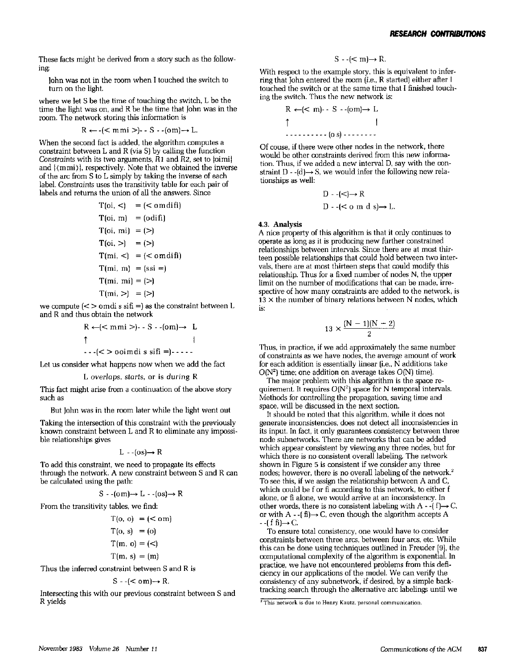These facts might be derived from a story such as the follow-

John was not in the room when I touched the switch to turn on the light.

where we let S be the time of touching the switch, L be the time the light was on, and R be the time that John was in the room. The network storing this information is

$$
R \leftarrow \{-\langle \mathbf{m}\,\mathbf{m}\,\mathbf{i}\rangle\} - S - \langle \mathbf{0}\,\mathbf{m}\rangle \rightarrow L.
$$

When the second fact is added, the algorithm computes a constraint between L and R (via S) by calling the function Constraints with its two arguments, *R1* and *R2,* set to {oimi} and  $\{(mm)\}\$ , respectively. Note that we obtained the inverse of the arc from S to L simply by taking the inverse of each label. *Constraints* uses the transitivity table for each pair of labels and returns the union of all the answers. Since

$$
T(oi, <) = (< omdifi) \nT(oi, m) = (odifi) \nT(oi, mi) = (>)\nT(oi, >) = (>)\nT(mi, <) = (< omdifi) \nT(mi, m) = (ssi =)\nT(mi, >) = (>)\nT(mi, >) = (>)
$$

we compute  $\leq$  > omdi s sifi = as the constraint between L and R and thus obtain the network

$$
R \leftarrow (in)- S -- (om) \rightarrow L
$$
  
\n
$$
\uparrow
$$
  
\n-- 
$$
(< > \text{ooimdi s sifi} =) --
$$

Let us consider what happens now when we add the fact

*L overlaps, starts,* or is during R

This fact might arise from a continuation of the above story such as

But John was in the room later while the light went out

Taking the intersection of this constraint with the previously known constraint between L and R to eliminate any impossible relationships gives

$$
L -- (os) \rightarrow R
$$

To add this constraint, we need to propagate its effects through the network. A new constraint between S and R can be calculated using the path:

$$
S - (om) \rightarrow L - (os) \rightarrow R
$$

From the transitivity tables, we find:

$$
T(o, o) = (\text{5 cm})
$$
  
\n $T(o, s) = (o)$   
\n $T(m, o) = (\text{5 cm})$   
\n $T(m, s) = (m)$ 

Thus the inferred constraint between S and R is

$$
S - \{ < \text{om} \} \rightarrow R.
$$

Intersecting this with our previous constraint between S and R yields

$$
S - \{ < m \} \rightarrow R.
$$

With respect to the example story, this is equivalent to inferring that John entered the room *(i.e.,* R started) either after I touched the switch or at the same time that I finished touching the switch. Thus the new network **is:** 

$$
\begin{array}{ccc}\nR & \leftarrow & \leftarrow & \text{m} - S - \text{(om)} \rightarrow L \\
\uparrow & & \downarrow & \downarrow \\
\text{...} & \text{(o s)} & \text{...} & \text{...}\n\end{array}
$$

Of couse, if there were other nodes in the network, there would be other constraints derived from this new information. Thus, if we added a new interval D, say with the constraint D - -(d)  $\rightarrow$  S, we would infer the following new relationships as well:

$$
D - \{<\rightarrow R
$$
  

$$
D - \{< o \text{ m d s}\} \rightarrow L.
$$

#### **4.3. Analysis**

A nice property of this algorithm is that it only continues to operate as long as it is producing new further constrained relationships between intervals. Since there are at most thirteen possible relationships that could hold between two intervals, there are at most thirteen steps that could modify this relationship. Thus for a fixed number of nodes N, the upper limit on the number of modifications that can be made, irrespective of how many constraints are added to the network, is  $13 \times$  the number of binary relations between N nodes, which is:

$$
13 \times \frac{(N-1)(N-2)}{2}
$$

Thus, in practice, if we add approximately the same number of constraints as we have nodes, the average amount of work for each addition is essentially linear (i.e., N additions take  $O(N^2)$  time; one addition on average takes  $O(N)$  time).

The major problem with this algorithm is the space requirement. It requires  $O(N^2)$  space for N temporal intervals. Methods for controlling the propagation, saving time and space, will be discussed in the next section.

It should be noted that this algorithm, while it does not generate inconsistencies, does not detect all inconsistencies in its input. In fact, it only guarantees consistency between three node subnetworks. There are networks that can be added which appear consistent by viewing any three nodes, but for which there is no consistent overall labeling. The network shown in Figure 5 is consistent if we consider any three nodes; however, there is no overall labeling of the network.<sup>2</sup> To see this, if we assign the relationship between A and C, which could be f or fi according to this network, to either f alone, or fi alone, we would arrive at an inconsistency. In other words, there is no consistent labeling with  $A - (f) \rightarrow C$ , or with A  $-$  (fi) $\rightarrow$  C, even though the algorithm accepts A  $-$ **f** fi $\rightarrow$  C.

To ensure total consistency, one would have to consider constraints between three arcs, between four arcs, etc. While this can be done using techniques outlined in Freuder [9], the computational complexity of the algorithm is exponential. In practice, we have not encountered problems from this deficiency in our applications of the model. We can verify the consistency of any subnetwork, if desired, by a simple backtracking search through the alternative arc labelings until we

<sup>&</sup>lt;sup>2</sup> This network is due to Henry Kautz, personal communication.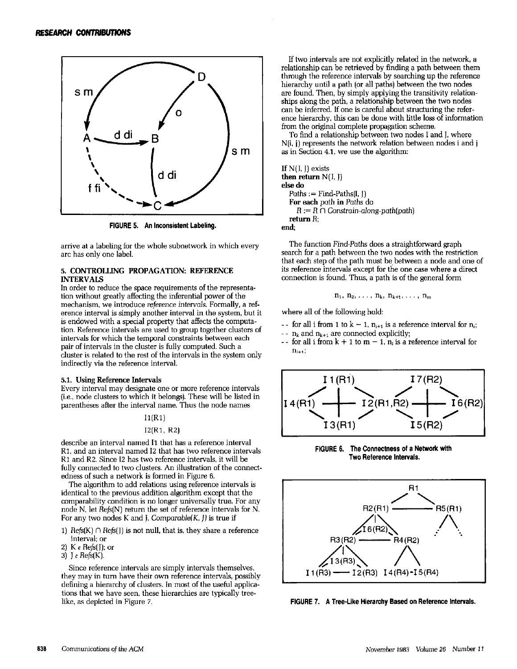

**FIGURE 5. An Inconsistent Labeling.** 

arrive at a labeling for the whole subnetwork in which every arc has only one label.

# 5. CONTROLLING PROPAGATION: REFERENCE INTERVALS

In order to reduce the space requirements of the representation without greatly affecting the inferential power of the mechanism, we introduce *reference* intervals. Formally, a reference interval is simply another interval in the system, but it is endowed with a special property that affects the computation. Reference intervals are used to group together clusters of intervals for which the temporal constraints between each pair of intervals in the cluster is fully computed. Such a cluster is related to the rest of the intervals in the system only indirectly via the reference interval.

# **5.1. Using Reference Intervals**

Every interval may designate one or more reference intervals (i.e., node clusters to which it belongs). These will be listed in parentheses after the interval name. Thus the node names

# $I1(R1)$

# I2(R1, R2)

describe an interval named I1 that has a reference interval R1, and an interval named I2 that has two reference intervals R1 and R2. Since I2 has two reference intervals, it will be fully connected to two clusters. An illustration of the connectedness of such a network is formed in Figure 6.

The algorithm to add relations using reference intervals is identical to the previous addition algorithm except that the comparability condition is no longer universally true. For any node N, let *Refs(N)* return the set of reference intervals for N. For any two nodes K and J, *Comparable(K, J) is* true if

1)  $\text{Refs}(K) \cap \text{Refs}(J)$  is not null, that is, they share a reference interval; or

- 2) K c *Refs(J);* or
- 3) J  $\varepsilon$  Refs(K).

Since reference intervals are simply intervals themselves, they may in turn have their own reference intervals, possibly defining a hierarchy of clusters. In most of the useful applications that we have seen, these hierarchies are typically treelike, as depicted in Figure 7.

If two intervals are not explicitly related in the network, a relationship can be retrieved by finding a path between them through the reference intervals by searching up the reference hierarchy until a path (or all paths) between the two nodes are found. Then, by simply applying the transitivity relationships along the path, a relationship between the two nodes can be inferred. If one is careful about structuring the reference hierarchy, this can be done with little loss of information from the original complete propagation scheme.

To find a relationship between two nodes I and ], where N(i, j) represents the network relation between nodes i and j **as** in Section 4.1, we use the algorithm:

If  $N(I, J)$  exists **then return** N(I, J) else do  $Paths := Find-Paths(I, J)$ **For each** *path* in *Paths* do  $R := R \cap$  Constrain-along-path(path) **return** R; end;

The function *Find-Paths* does a straightforward graph search for a path between the two nodes with the restriction that each step of the path must be between a node and one of its reference intervals except for the one case where a direct connection is found. Thus, a path is of the general form

$$
n_1, n_2, \ldots, n_k, n_{k+1}, \ldots, n_m
$$

where all of the following hold:

- -- for all i from 1 to  $k 1$ ,  $n_{i+1}$  is a reference interval for  $n_i$ ;
- --  $n_k$  and  $n_{k+1}$  are connected explicitly;
- -- for all i from  $k + 1$  to  $m 1$ ,  $n_i$  is a reference interval for  $n_{i+1}$ ;



**FIGURE 6. The Connectness of a Network with Two Reference Intervals.** 



**FIGURE 7. A Tree-Like Hierarchy Based on Reference Intervals.**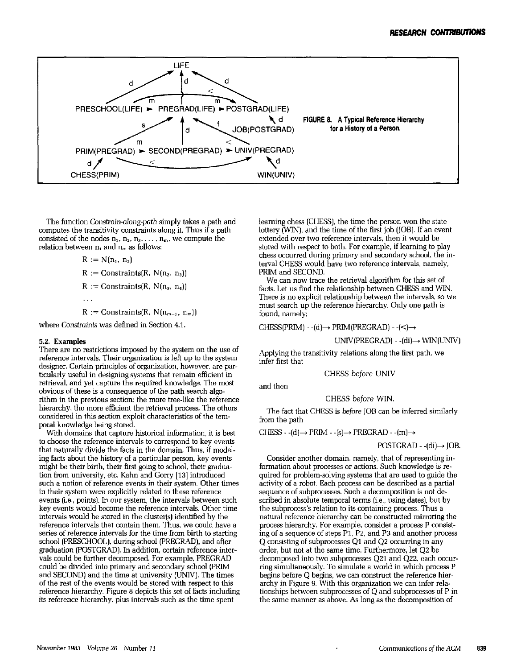

The function *Constrain-along-path* simply takes a path and computes the transitivity constraints along **it.** Thus if a path consisted of the nodes  $n_1, n_2, n_3, \ldots, n_m$ , we compute the relation between  $n_1$  and  $n_m$  as follows:

$$
R := N(n_1, n_2)
$$
  
\n
$$
R :=
$$
Constraints $(R, N(n_2, n_3))$   
\n
$$
R :=
$$
Constraints $(R, N(n_3, n_4))$   
\n...  
\n
$$
R :=
$$
Constraints $(R, N(n_{m-1}, n_m))$ 

where *Constraints* was defined in Section 4.1.

#### 5.2. **Examples**

There are no restrictions imposed by the system on the use of reference intervals. Their organization is left up to the system designer. Certain principles of organization, however, are particularly useful in designing systems that remain efficient in retrieval, and yet capture the required knowledge. The most obvious of these is a consequence of the path search algorithm in the previous section: the more tree-like the reference hierarchy, the more efficient the retrieval process. The others considered in this section exploit characteristics of the temporal knowledge being stored.

With domains that capture historical information, it is best to choose the reference intervals to correspond to key events that naturally divide the facts in the domain. Thus, if modeling facts about the history of a particular person, key events might be their birth, their first going to school, their graduation from university, etc. Kahn and Gorry [13] introduced such a notion of reference events in their system. Other times in their system were explicitly related to these reference events (i.e., points). In our system, the intervals between such key events would become the reference intervals. Other time intervals would be stored in the cluster(s) identified by the reference intervals that contain them. Thus, we could have a series of reference intervals for the time from birth to starting school (PRESCHOOL), during school (PREGRAD), and after graduation (POSTGRAD). In addition, certain reference intervals could be further decomposed. For example, PREGRAD could be divided into primary and secondary school (PRIM and SECOND) and the time at university (UNIV). The times of the rest of the events would be stored with respect to this reference hierarchy. Figure 8 depicts this set of facts including its reference hierarchy, plus intervals such as the time spent

learning chess (CHESS), the time the person won the state lottery (WIN), and the time of the first job (JOB). If an event extended over two reference intervals, then it would be stored with respect to both. For example, if learning to play chess occurred during primary and secondary school, the interval CHESS would have two reference intervals, namely, PRIM and SECOND.

We can now trace the retrieval algorithm for this set of facts. Let us find the relationship between CHESS and WIN. There is no explicit relationship between the intervals, so we must search up the reference hierarchy. Only one path **is**  found, namely:

 $CHESS(PRIM) - -(d) \rightarrow PRIM(PREGRAD) - -(<) \rightarrow$ 

#### $UNIV(PREGRAD) - -(di) \rightarrow WIN(UNIV)$

Applying the transitivity relations along the first path, we infer first that

CHESS *before* UNIV

and then

#### CHESS *before* WIN.

The fact that CHESS **is** *before* JOB can be inferred similarly from the path

 $CHESS - -(d) \rightarrow PRIM - -(s) \rightarrow PREGRAD - -(m) \rightarrow$ 

 $POSTGRAD - (di) \rightarrow JOB$ .

Consider another domain, namely, that of representing information about processes or actions. Such knowledge is required for problem-solving systems that are used to guide the activity of a robot. Each process can be described as a partial sequence of subprocesses. Such a decomposition is not described in absolute temporal terms (i.e., using dates), but by the subprocess's relation to its containing process. Thus a natural reference hierarchy can be constructed mirroring the process hierarchy. For example, consider a process P consisting of a sequence of steps P1, P2, and P3 and another process Q consisting of subprocesses Q1 and Q2 occurring in any order, but not at the same time. Furthermore, let Q2 be decomposed into two subprocesses Q21 and Q22, each occurring simultaneously. To simulate a world in which process P begins before Q begins, we can construct the reference hierarchy in Figure 9. With this organization we can infer relationships between subprocesses of Q and subprocesses of P in the same manner as above. As long as the decomposition of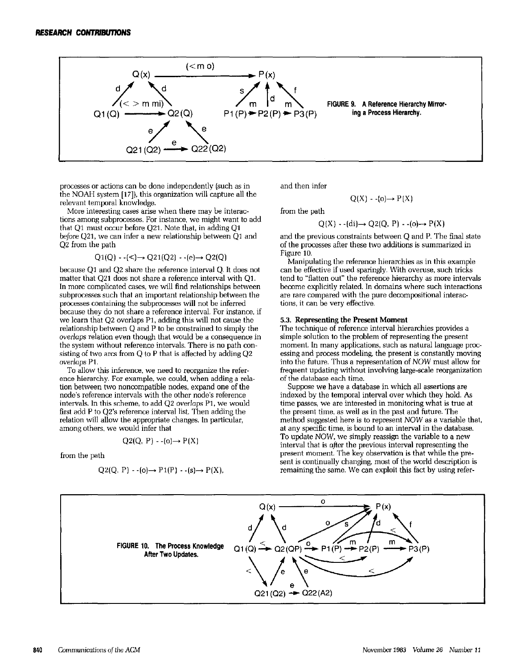

processes or actions can be done independently (such as in the NOAH system [17]), this organization will capture all the relevant temporal knowledge.

More interesting cases arise when there may be interactions among subprocesses. For instance, we might want to add that Q1 must occur before Q21. Note that, in adding Q1 *before* Q21, we can infer a new relationship between Q1 and Q2 from the path

$$
Q1(Q) - { $\rightarrow$  Q21(Q2) - { $\leftrightarrow$  Q2(Q)}
$$

because Q1 and Q2 share the reference interval Q. It does not matter that Q21 does not share a reference interval with Q1. In more complicated cases, we will find relationships between subprocesses such that an important relationship between the processes containing the subprocesses will not be inferred because they do not share a reference interval. For instance, if we learn that Q2 overlaps P1, adding this will not cause the relationship between Q and P to be constrained to simply the *overlaps* relation even though that would be a consequence in the system without reference intervals. There is no path consisting of two arcs from Q to P that is affected by adding Q2 *overlaps* P1.

To allow this inference, we need to reorganize the reference hierarchy. For example, we could, when adding a relation between two noncompatible nodes, expand one of the node's reference intervals with the other node's reference intervals. In this scheme, to add Q2 *ovedaps* P1, we would first add P to Q2's reference interval list. Then adding the relation will allow the appropriate changes. In particular, among others, we would infer that

$$
Q2(Q, P) - (o) \rightarrow P(X)
$$

from the path

$$
Q2(Q, P) - (o) \rightarrow P1(P) - (s) \rightarrow P(X),
$$

and then infer

$$
Q(X) - (o) \rightarrow P(X)
$$

from the path

$$
Q(X) - (di) \rightarrow Q2(Q, P) - (o) \rightarrow P(X)
$$

and the previous constraints between Q and P. The final state of the processes after these two additions is summarized in Figure 10.

Manipulating the reference hierarchies as in this example can be effective if used sparingly. With overuse, such tricks tend to "flatten out" the reference hierarchy as more intervals become explicitly related. In domains where such interactions are rare compared with the pure decompositional interactions, it can be very effective.

#### **5.3. Representing the Present Moment**

The technique of reference interval hierarchies provides a simple solution to the problem of representing the present moment. In many applications, such as natural language processing and process modeling, the present is constantly moving into the future. Thus a representation of *NOW* must allow for frequent updating without involving large-scale reorganization of the database each time.

Suppose we have a database in which all assertions are indexed by the temporal interval over which they hold. As time passes, we are interested in monitoring what is true at the present time, as well as in the past and future. The method suggested here is to represent *NOW* as a variable that, at any specific time, is bound to an interval in the database. To update *NOW,* we simply reassign the variable to a new interval that is *after* the previous interval representing the present moment. The key observation is that while the present is continually changing, most of the world description is remaining the same. We can exploit this fact by using refer-

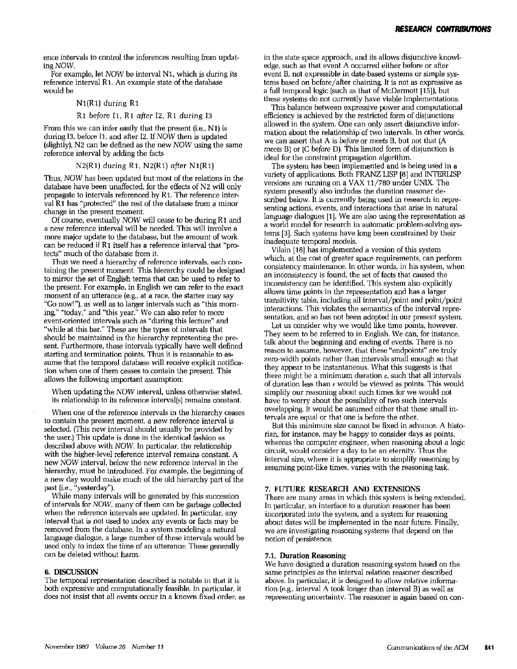For example, let *NOW* be interval N1, which is during its reference interval R1. An example state of the database would be

# NI(R1) during R1

#### R1 before I1, R1 *after* I2, R1 during I3

From this we can infer easily that the present (i.e., N1) is during I3, before I1, and after I2. If NOW then is updated during 13, before I1, and after 12. If *NOW* then is updated (slightly), N2 can be defined as the new *NOW* using the same reference interval by adding the facts

# N2(R1) during R1, N2(R1) *after* NI(R1)

Thus, *NOW* has been updated but most of the relations in the database have been unaffected, for the effects of N2 will only database have been unaffected, for the effects of N2 will only propagate to intervals referenced by R1. The reference i val R1 has "protected" the rest of the database from a minor change in the present moment.

Of course, eventually *NOW* will cease to be during R1 and a new reference interval will be needed. This will involve a new reference interval more major update to the database, but the amount of w can be reduced if R1 itself has a reference interval that "protects" much of the database from it.

Thus we need a hierarchy of reference intervals, each containing the present moment. This hierarchy could be designed to mirror the set of English terms that can be used to refer to the present. For example, in English we can refer to the exact moment of an utterance (e.g., at a race, the starter may say "Go now!"), as well as to larger intervals such as "this morning," "today," and "this year." We can also refer to more event-oriented intervals such as "during this lecture" and "while at this bar." These are the types of intervals that should be maintained in the hierarchy representing the present. Furthermore, these intervals typically have well defined starting and termination points. Thus it is reasonable to assume that the temporal database will receive explicit notification when one of them ceases to contain the present. This allows the following important assumption:

When updating the *NOW* interval, unless otherwise stated, its relationship to its reference interval(s) remains constant.

When one of the reference intervals in the hierarchy ceases to contain the present moment, a new reference interval is selected. (This new interval should usually be provided by the user.) This update is done in the identical fashion as described above with *NOW.* In particular, the relationship with the higher-level reference interval remains constant. A new *NOW* interval, below the new reference interval in the hierarchy, must be introduced. For example, the beginning of a new day would make much of the old hierarchy part of the past (i.e., "yesterday").

While many intervals will be generated by this succession of intervals for *NOW,* many of them can be garbage collected when the reference intervals are updated. In particular, any interval that is not used to index any events or facts may be removed from the database. In a system modeling a natural language dialogue, a large number of these intervals would be used only to index the time of an utterance: These generally can be deleted without harm.

## **6. DISCUSSION**

The temporal representation described is notable in that it is both expressive and computationally feasible. In particular, it does not insist that all events occur in a known fixed order, as in the state space approach, and its allows disjunctive knowledge, such as that event A occurred either before or after event B, not expressible in date-based systems or simple systems based on before/after chaining. It is not as expressive as a full temporal logic (such as that of McDermott [15]), but these systems do not currently have viable implementations.

This balance between expressive power and computational efficiency is achieved by the restricted form of disjunctions allowed in the system. One can only assert disjunctive information about the relationship of two intervals. In other words, we can assert that A is *before* or *meets* B, but not that (A *meets* B) or (C *before* D). This limited form of disjunction is ideal for the constraint propagation algorithm.

The system has been implemented and is being used in a variety of applications. Both FRANZ LISP [8] and INTERLISP versions are running on a VAX 11/780 under UNIX. The system presently also includes the duration reasoner described below. It is currently being used in research in representing actions, events, and interactions that arise in natural language dialogues [1]. We are also using the representation as a world model for research in automatic problem-solving systems [3]. Such systems have long been constrained by their inadequate temporal models.

Vilain [18] has implemented a version of this system which, at the cost of greater space requirements, can perform consistency maintenance. In other words, in his system, when an inconsistency is found, the set of facts that caused the inconsistency can be identified. This system also explicitly allows time points in the representation and has a larger transitivity table, including all interval/point and point/point interactions. This violates the semantics of the interval representation, and so has not been adopted in our present system.

Let us consider why we would like time points, however. They seem to be referred to in English. We can, for instance, talk about the beginning and ending of events. There is no reason to assume, however, that these "endpoints" are truly zero-width points rather than intervals small enough so that they appear to be instantaneous. What this suggests is that there might be a minimum duration  $\varepsilon$ , such that all intervals of duration less than e would be viewed as points. This would simplify our reasoning about such times for we would not have to worry about the possibility of two such intervals overlapping. It would be assumed either that these small intervals are equal or that one is before the other.

But this minimum size cannot be fixed in advance. A historian, for instance, may be happy to consider days as points, whereas the computer engineer, when reasoning about a logic circuit, would consider a day to be an eternity. Thus the interval size, where it is appropriate to simplify reasoning by assuming point-like times, varies with the reasoning task.

# **7. FUTURE RESEARCH AND EXTENSIONS**

There are many areas in which this system is being extended. In particular, an interface to a *duration* reasoner has been incorporated into the system, and a system for reasoning about dates will be implemented in the near future. Finally, we are investigating reasoning systems that depend on the notion of persistence.

## **7.1. Duration Reasoning**

We have designed a duration reasoning system based on the same principles as the interval relation reasoner described above. In particular, it is designed to allow relative information (e.g., interval A took longer than interval B) as well as representing uncertainty. The reasoner is again based on con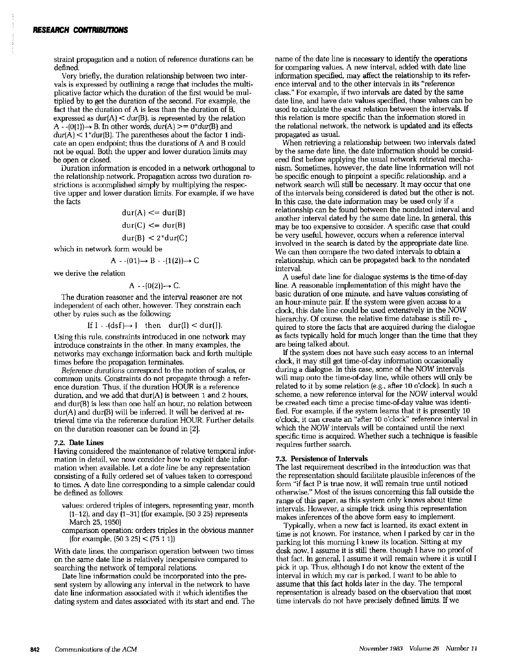straint propagation and a notion of reference durations can be defined.

, orietly, the duration relationship between two intervals is expressed by outlining a range that includes the multiplicative factor which the duration of the first would be multiplied by to get the duration of the second. For example, the fact that the duration of A is less than the duration of B, expressed as  $dur(A) < dur(B)$ , is represented by the relation A - -(0(1)) $\rightarrow$  B. In other words, dur(A) >= 0\*dur(B) and  $dur(A) < 1*dur(B)$ . The parentheses about the factor 1 indicate an open endpoint; thus the durations of A and B could not be equal. Both the upper and lower duration limits may be open or closed.

Duration information is encoded in a network orthogonal to the relationship network. Propagation across two duration **restrictions** is accomplished simply by multiplying the respective upper and lower duration limits. For example, if we have the facts

$$
dur(A) \leq dur(B)
$$
  
\n
$$
dur(C) \leq dur(B)
$$
  
\n
$$
dur(B) < 2^*dur(C)
$$
  
\nwhich in network form would be

$$
A - (01) \rightarrow B - (1(2)) \rightarrow C
$$

we derive the relation

$$
A - [0(2)] \rightarrow C.
$$

The duration reasoner and the interval reasoner are not independent of each other, however. They constrain each other by rules such as the following:

If I 
$$
-dsf \to J
$$
 then  $dur(I) < dur(J)$ .

Using this rule, constraints introduced in one network may introduce constraints in the other. In many examples, the networks may exchange information back and forth multiple times before the propagation terminates.

*Reference durations* correspond to the notion of scales, or common units. Constraints do not propagate through a reference duration. Thus, if the duration HOUR is a reference duration, and we add that dur(A) is between 1 and 2 hours, and dur(B) is less than one half an hour, no relation between dur(A) and dur(B) will be inferred. It will be derived at retrieval time via the reference duration HOUR. Further details on the duration reasoner can be found in [2].

#### **7.2. Date Lines**

Having considered the maintenance of relative temporal information in detail, we now consider how to exploit date information when available. Let a *date line* be any representation consisting of a fully ordered set of values taken to correspond to times. A date line corresponding to a simple calendar could be defined as follows:

- values: ordered triples of integers, representing year, month  $(1-12)$ , and day  $(1-31)$  (for example,  $(50325)$  represents March 25, 1950)
- comparison operation: orders triples in the obvious manner (for example, (50 3 25) < (75 1 1))

With date lines, the comparison operation between two times on the same date line is relatively inexpensive compared to searching the network of temporal relations.

Date line information could be incorporated into the present system by allowing any interval in the network to have date line information associated with it which identifies the dating system and dates associated with its start and end. The name of the date line is necessary to identify the operations for comparing values. A new interval, added with date line information specified, may affect the relationship to its reference interval and to the other intervals in its "reference class." For example, if two intervals are dated by the same date line, and have date values specified, those values can be used to calculate the exact relation between the intervals. If this relation is more specific than the information stored in the relational network, the network is updated and its effects propagated as usual.

When retrieving a relationship between two intervals dated by the same date line, the date information should be considered first before applying the usual network retrieval mechanism. Sometimes, however, the date line information will not be specific enough to pinpoint a specific relationship, and a network search will still be necessary. It may occur that one of the intervals being considered is dated but the other is not. In this case, the date information may be used only if a relationship can be found between the nondated interval and another interval dated by the same date line. In general, this may be too expensive to consider. A specific case that could be very useful, however, occurs when a reference interval involved in the search is dated by the appropriate date line. We can then compare the two dated intervals to obtain a relationship, which can be propagated back to the nondated interval.

A useful date line for dialogue systems is the time-of-day line. A reasonable implementation of this might have the basic duration of one minute, and have values consisting of an hour-minute pair. If the system were given access to a clock, this date line could be used extensively in the *NOW*  hierarchy. Of course, the relative time database is still required to store the facts that are acquired during the dialogue as facts typically hold for much longer than the time that they are being talked about.

If the system does not have such easy access to an internal clock, it may still get time-of-day information occasionally during a dialogue. In this case, some of the *NOW* intervals will map onto the time-of-day line, while others will only be related to it by some relation (e.g., after 10 o'clock). In such a scheme, a new reference interval for the *NOW* interval would be created each time a precise time-of-day value was identified. For example, if the system learns that it is presently 10 o'clock, it can create an "after 10 o'clock" reference interval in which the *NOW* intervals will be contained until the next specific time is acquired. Whether such a technique is feasible requires further search.

#### **7.3. Persistence of Intervals**

The last requirement described in the introduction was that the representation should facilitate plausible inferences of the form "if fact P is true now, it will remain true until noticed otherwise." Most of the issues concerning this fall outside the range of this paper, as this system only knows about time intervals. However, a simple trick using this representation makes inferences of the above form easy to implement.

Typically, when a new fact is learned, its exact extent in time is not known. For instance, when I parked by car in the parking lot this morning I knew its location. Sitting at my desk now, I assume it is still there, though I have no proof of that fact. In general, I assume it will remain where it is until I pick it up. Thus, although I do not know the extent of the interval in which my car is parked, I want to be able to assume that this fact holds later in the day. The temporal representation is already based on the observation that most time intervals do not have precisely defined limits. If we